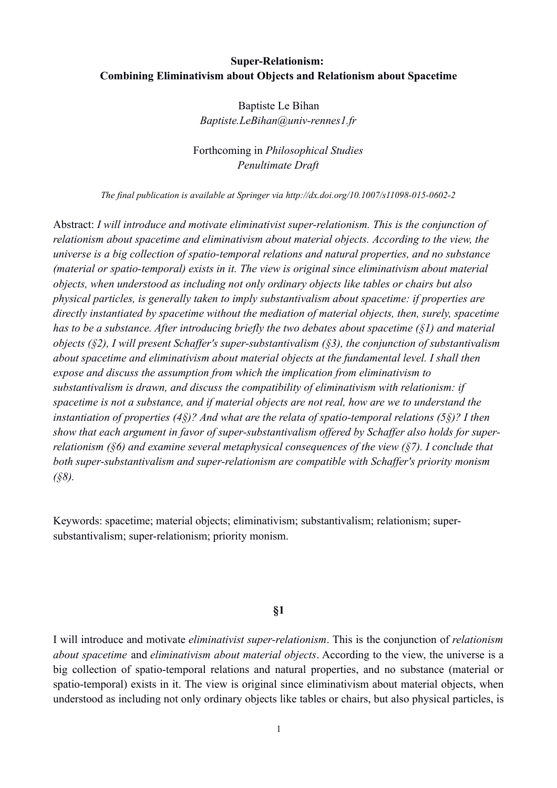# **Super-Relationism: Combining Eliminativism about Objects and Relationism about Spacetime**

Baptiste Le Bihan *Baptiste.LeBihan@univ-rennes1.fr*

Forthcoming in *Philosophical Studies Penultimate Draft*

*The final publication is available at Springer via http://dx.doi.org/10.1007/s11098-015-0602-2*

Abstract: *I will introduce and motivate eliminativist super-relationism. This is the conjunction of relationism about spacetime and eliminativism about material objects. According to the view, the universe is a big collection of spatio-temporal relations and natural properties, and no substance (material or spatio-temporal) exists in it. The view is original since eliminativism about material objects, when understood as including not only ordinary objects like tables or chairs but also physical particles, is generally taken to imply substantivalism about spacetime: if properties are directly instantiated by spacetime without the mediation of material objects, then, surely, spacetime has to be a substance. After introducing briefly the two debates about spacetime (§1) and material objects (§2), I will present Schaffer's super-substantivalism (§3), the conjunction of substantivalism about spacetime and eliminativism about material objects at the fundamental level. I shall then expose and discuss the assumption from which the implication from eliminativism to substantivalism is drawn, and discuss the compatibility of eliminativism with relationism: if spacetime is not a substance, and if material objects are not real, how are we to understand the instantiation of properties (4§)? And what are the relata of spatio-temporal relations (5§)? I then show that each argument in favor of super-substantivalism offered by Schaffer also holds for superrelationism (§6) and examine several metaphysical consequences of the view (§7). I conclude that both super-substantivalism and super-relationism are compatible with Schaffer's priority monism (§8).*

Keywords: spacetime; material objects; eliminativism; substantivalism; relationism; supersubstantivalism; super-relationism; priority monism.

**§1**

I will introduce and motivate *eliminativist super-relationism*. This is the conjunction of *relationism about spacetime* and *eliminativism about material objects*. According to the view, the universe is a big collection of spatio-temporal relations and natural properties, and no substance (material or spatio-temporal) exists in it. The view is original since eliminativism about material objects, when understood as including not only ordinary objects like tables or chairs, but also physical particles, is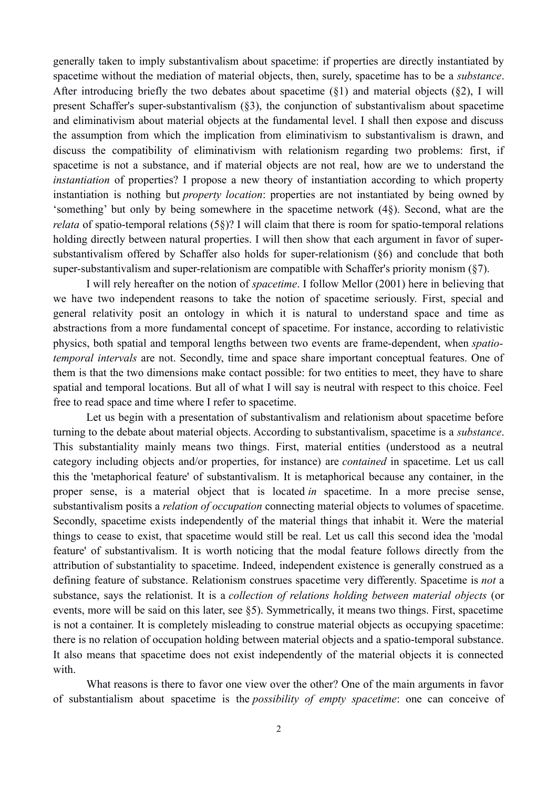generally taken to imply substantivalism about spacetime: if properties are directly instantiated by spacetime without the mediation of material objects, then, surely, spacetime has to be a *substance*. After introducing briefly the two debates about spacetime (§1) and material objects (§2), I will present Schaffer's super-substantivalism (§3), the conjunction of substantivalism about spacetime and eliminativism about material objects at the fundamental level. I shall then expose and discuss the assumption from which the implication from eliminativism to substantivalism is drawn, and discuss the compatibility of eliminativism with relationism regarding two problems: first, if spacetime is not a substance, and if material objects are not real, how are we to understand the *instantiation* of properties? I propose a new theory of instantiation according to which property instantiation is nothing but *property location*: properties are not instantiated by being owned by 'something' but only by being somewhere in the spacetime network (4§). Second, what are the *relata* of spatio-temporal relations (5§)? I will claim that there is room for spatio-temporal relations holding directly between natural properties. I will then show that each argument in favor of supersubstantivalism offered by Schaffer also holds for super-relationism (§6) and conclude that both super-substantivalism and super-relationism are compatible with Schaffer's priority monism (§7).

I will rely hereafter on the notion of *spacetime*. I follow Mellor (2001) here in believing that we have two independent reasons to take the notion of spacetime seriously. First, special and general relativity posit an ontology in which it is natural to understand space and time as abstractions from a more fundamental concept of spacetime. For instance, according to relativistic physics, both spatial and temporal lengths between two events are frame-dependent, when *spatiotemporal intervals* are not. Secondly, time and space share important conceptual features. One of them is that the two dimensions make contact possible: for two entities to meet, they have to share spatial and temporal locations. But all of what I will say is neutral with respect to this choice. Feel free to read space and time where I refer to spacetime.

Let us begin with a presentation of substantivalism and relationism about spacetime before turning to the debate about material objects. According to substantivalism, spacetime is a *substance*. This substantiality mainly means two things. First, material entities (understood as a neutral category including objects and/or properties, for instance) are *contained* in spacetime. Let us call this the 'metaphorical feature' of substantivalism. It is metaphorical because any container, in the proper sense, is a material object that is located *in* spacetime. In a more precise sense, substantivalism posits a *relation of occupation* connecting material objects to volumes of spacetime. Secondly, spacetime exists independently of the material things that inhabit it. Were the material things to cease to exist, that spacetime would still be real. Let us call this second idea the 'modal feature' of substantivalism. It is worth noticing that the modal feature follows directly from the attribution of substantiality to spacetime. Indeed, independent existence is generally construed as a defining feature of substance. Relationism construes spacetime very differently. Spacetime is *not* a substance, says the relationist. It is a *collection of relations holding between material objects* (or events, more will be said on this later, see §5). Symmetrically, it means two things. First, spacetime is not a container. It is completely misleading to construe material objects as occupying spacetime: there is no relation of occupation holding between material objects and a spatio-temporal substance. It also means that spacetime does not exist independently of the material objects it is connected with.

What reasons is there to favor one view over the other? One of the main arguments in favor of substantialism about spacetime is the *possibility of empty spacetime*: one can conceive of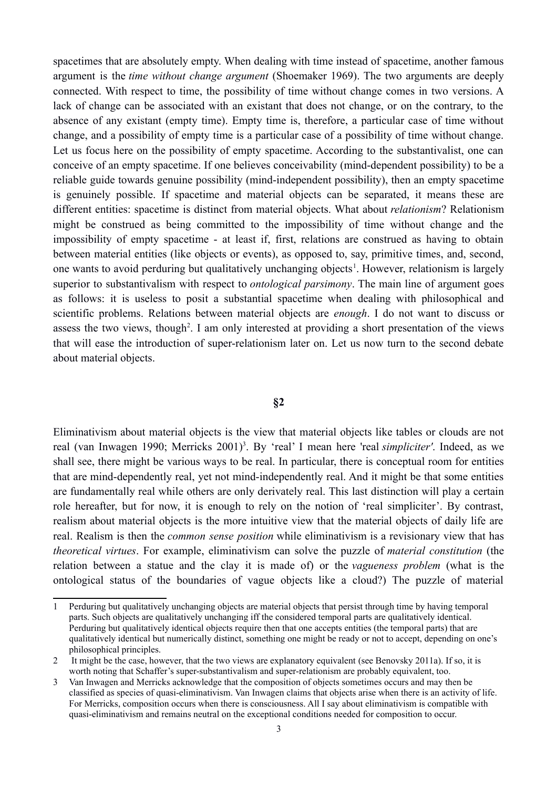spacetimes that are absolutely empty. When dealing with time instead of spacetime, another famous argument is the *time without change argument* (Shoemaker 1969). The two arguments are deeply connected. With respect to time, the possibility of time without change comes in two versions. A lack of change can be associated with an existant that does not change, or on the contrary, to the absence of any existant (empty time). Empty time is, therefore, a particular case of time without change, and a possibility of empty time is a particular case of a possibility of time without change. Let us focus here on the possibility of empty spacetime. According to the substantivalist, one can conceive of an empty spacetime. If one believes conceivability (mind-dependent possibility) to be a reliable guide towards genuine possibility (mind-independent possibility), then an empty spacetime is genuinely possible. If spacetime and material objects can be separated, it means these are different entities: spacetime is distinct from material objects. What about *relationism*? Relationism might be construed as being committed to the impossibility of time without change and the impossibility of empty spacetime - at least if, first, relations are construed as having to obtain between material entities (like objects or events), as opposed to, say, primitive times, and, second, one wants to avoid perduring but qualitatively unchanging objects<sup>[1](#page-2-0)</sup>. However, relationism is largely superior to substantivalism with respect to *ontological parsimony*. The main line of argument goes as follows: it is useless to posit a substantial spacetime when dealing with philosophical and scientific problems. Relations between material objects are *enough*. I do not want to discuss or assess the two views, though<sup>[2](#page-2-1)</sup>. I am only interested at providing a short presentation of the views that will ease the introduction of super-relationism later on. Let us now turn to the second debate about material objects.

#### **§2**

Eliminativism about material objects is the view that material objects like tables or clouds are not real (van Inwagen 1990; Merricks 2001)<sup>[3](#page-2-2)</sup>. By 'real' I mean here 'real *simpliciter'*. Indeed, as we shall see, there might be various ways to be real. In particular, there is conceptual room for entities that are mind-dependently real, yet not mind-independently real. And it might be that some entities are fundamentally real while others are only derivately real. This last distinction will play a certain role hereafter, but for now, it is enough to rely on the notion of 'real simpliciter'. By contrast, realism about material objects is the more intuitive view that the material objects of daily life are real. Realism is then the *common sense position* while eliminativism is a revisionary view that has *theoretical virtues*. For example, eliminativism can solve the puzzle of *material constitution* (the relation between a statue and the clay it is made of) or the *vagueness problem* (what is the ontological status of the boundaries of vague objects like a cloud?) The puzzle of material

<span id="page-2-0"></span><sup>1</sup> -Perduring but qualitatively unchanging objects are material objects that persist through time by having temporal parts. Such objects are qualitatively unchanging iff the considered temporal parts are qualitatively identical. Perduring but qualitatively identical objects require then that one accepts entities (the temporal parts) that are qualitatively identical but numerically distinct, something one might be ready or not to accept, depending on one's philosophical principles.

<span id="page-2-1"></span><sup>2</sup> - It might be the case, however, that the two views are explanatory equivalent (see Benovsky 2011a). If so, it is worth noting that Schaffer's super-substantivalism and super-relationism are probably equivalent, too.

<span id="page-2-2"></span><sup>3</sup> -Van Inwagen and Merricks acknowledge that the composition of objects sometimes occurs and may then be classified as species of quasi-eliminativism. Van Inwagen claims that objects arise when there is an activity of life. For Merricks, composition occurs when there is consciousness. All I say about eliminativism is compatible with quasi-eliminativism and remains neutral on the exceptional conditions needed for composition to occur.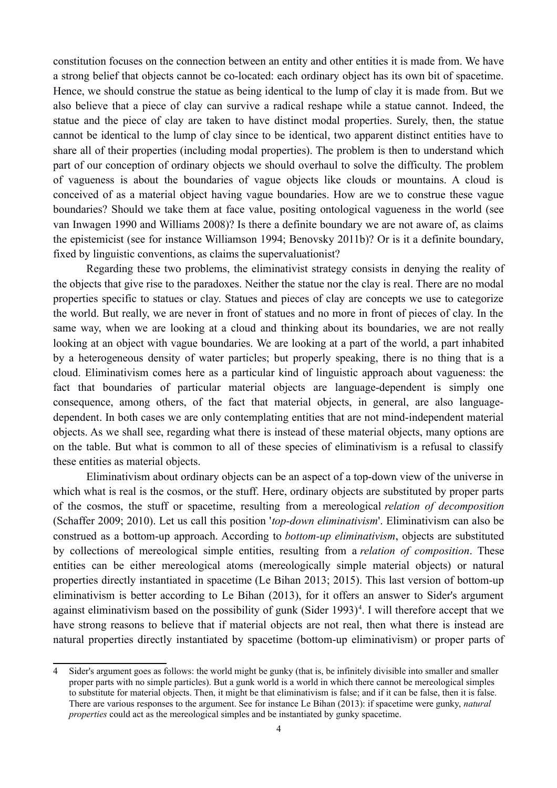constitution focuses on the connection between an entity and other entities it is made from. We have a strong belief that objects cannot be co-located: each ordinary object has its own bit of spacetime. Hence, we should construe the statue as being identical to the lump of clay it is made from. But we also believe that a piece of clay can survive a radical reshape while a statue cannot. Indeed, the statue and the piece of clay are taken to have distinct modal properties. Surely, then, the statue cannot be identical to the lump of clay since to be identical, two apparent distinct entities have to share all of their properties (including modal properties). The problem is then to understand which part of our conception of ordinary objects we should overhaul to solve the difficulty. The problem of vagueness is about the boundaries of vague objects like clouds or mountains. A cloud is conceived of as a material object having vague boundaries. How are we to construe these vague boundaries? Should we take them at face value, positing ontological vagueness in the world (see van Inwagen 1990 and Williams 2008)? Is there a definite boundary we are not aware of, as claims the epistemicist (see for instance Williamson 1994; Benovsky 2011b)? Or is it a definite boundary, fixed by linguistic conventions, as claims the supervaluationist?

Regarding these two problems, the eliminativist strategy consists in denying the reality of the objects that give rise to the paradoxes. Neither the statue nor the clay is real. There are no modal properties specific to statues or clay. Statues and pieces of clay are concepts we use to categorize the world. But really, we are never in front of statues and no more in front of pieces of clay. In the same way, when we are looking at a cloud and thinking about its boundaries, we are not really looking at an object with vague boundaries. We are looking at a part of the world, a part inhabited by a heterogeneous density of water particles; but properly speaking, there is no thing that is a cloud. Eliminativism comes here as a particular kind of linguistic approach about vagueness: the fact that boundaries of particular material objects are language-dependent is simply one consequence, among others, of the fact that material objects, in general, are also languagedependent. In both cases we are only contemplating entities that are not mind-independent material objects. As we shall see, regarding what there is instead of these material objects, many options are on the table. But what is common to all of these species of eliminativism is a refusal to classify these entities as material objects.

Eliminativism about ordinary objects can be an aspect of a top-down view of the universe in which what is real is the cosmos, or the stuff. Here, ordinary objects are substituted by proper parts of the cosmos, the stuff or spacetime, resulting from a mereological *relation of decomposition* (Schaffer 2009; 2010). Let us call this position '*top-down eliminativism*'. Eliminativism can also be construed as a bottom-up approach. According to *bottom-up eliminativism*, objects are substituted by collections of mereological simple entities, resulting from a *relation of composition*. These entities can be either mereological atoms (mereologically simple material objects) or natural properties directly instantiated in spacetime (Le Bihan 2013; 2015). This last version of bottom-up eliminativism is better according to Le Bihan (2013), for it offers an answer to Sider's argument against eliminativism based on the possibility of gunk (Sider 1993)<sup>[4](#page-3-0)</sup>. I will therefore accept that we have strong reasons to believe that if material objects are not real, then what there is instead are natural properties directly instantiated by spacetime (bottom-up eliminativism) or proper parts of

<span id="page-3-0"></span> $\overline{4}$ Sider's argument goes as follows: the world might be gunky (that is, be infinitely divisible into smaller and smaller proper parts with no simple particles). But a gunk world is a world in which there cannot be mereological simples to substitute for material objects. Then, it might be that eliminativism is false; and if it can be false, then it is false. There are various responses to the argument. See for instance Le Bihan (2013): if spacetime were gunky, *natural properties* could act as the mereological simples and be instantiated by gunky spacetime.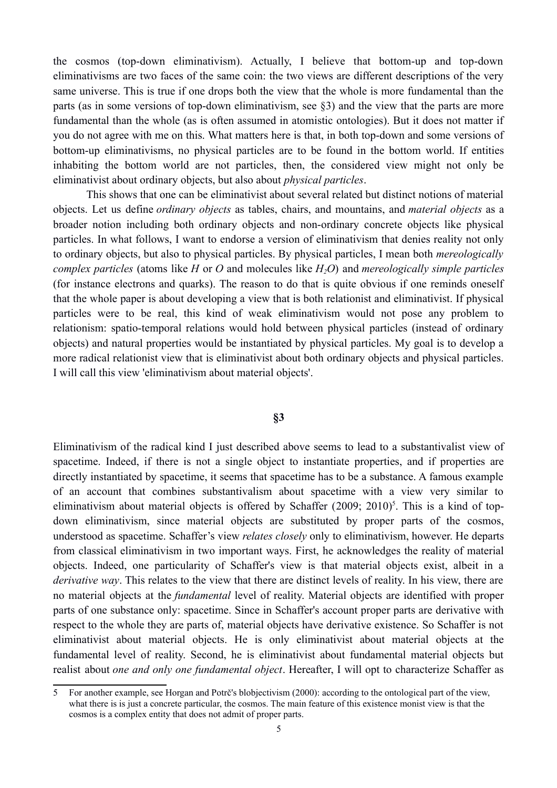the cosmos (top-down eliminativism). Actually, I believe that bottom-up and top-down eliminativisms are two faces of the same coin: the two views are different descriptions of the very same universe. This is true if one drops both the view that the whole is more fundamental than the parts (as in some versions of top-down eliminativism, see §3) and the view that the parts are more fundamental than the whole (as is often assumed in atomistic ontologies). But it does not matter if you do not agree with me on this. What matters here is that, in both top-down and some versions of bottom-up eliminativisms, no physical particles are to be found in the bottom world. If entities inhabiting the bottom world are not particles, then, the considered view might not only be eliminativist about ordinary objects, but also about *physical particles*.

This shows that one can be eliminativist about several related but distinct notions of material objects. Let us define *ordinary objects* as tables, chairs, and mountains, and *material objects* as a broader notion including both ordinary objects and non-ordinary concrete objects like physical particles. In what follows, I want to endorse a version of eliminativism that denies reality not only to ordinary objects, but also to physical particles. By physical particles, I mean both *mereologically complex particles* (atoms like *H* or *O* and molecules like *H2O*) and *mereologically simple particles* (for instance electrons and quarks). The reason to do that is quite obvious if one reminds oneself that the whole paper is about developing a view that is both relationist and eliminativist. If physical particles were to be real, this kind of weak eliminativism would not pose any problem to relationism: spatio-temporal relations would hold between physical particles (instead of ordinary objects) and natural properties would be instantiated by physical particles. My goal is to develop a more radical relationist view that is eliminativist about both ordinary objects and physical particles. I will call this view 'eliminativism about material objects'.

## **§3**

Eliminativism of the radical kind I just described above seems to lead to a substantivalist view of spacetime. Indeed, if there is not a single object to instantiate properties, and if properties are directly instantiated by spacetime, it seems that spacetime has to be a substance. A famous example of an account that combines substantivalism about spacetime with a view very similar to eliminativism about material objects is offered by Schaffer (2009; 2010)<sup>[5](#page-4-0)</sup>. This is a kind of topdown eliminativism, since material objects are substituted by proper parts of the cosmos, understood as spacetime. Schaffer's view *relates closely* only to eliminativism, however. He departs from classical eliminativism in two important ways. First, he acknowledges the reality of material objects. Indeed, one particularity of Schaffer's view is that material objects exist, albeit in a *derivative way*. This relates to the view that there are distinct levels of reality. In his view, there are no material objects at the *fundamental* level of reality. Material objects are identified with proper parts of one substance only: spacetime. Since in Schaffer's account proper parts are derivative with respect to the whole they are parts of, material objects have derivative existence. So Schaffer is not eliminativist about material objects. He is only eliminativist about material objects at the fundamental level of reality. Second, he is eliminativist about fundamental material objects but realist about *one and only one fundamental object*. Hereafter, I will opt to characterize Schaffer as

<span id="page-4-0"></span><sup>5</sup> -For another example, see Horgan and Potrč's blobjectivism (2000): according to the ontological part of the view, what there is is just a concrete particular, the cosmos. The main feature of this existence monist view is that the cosmos is a complex entity that does not admit of proper parts.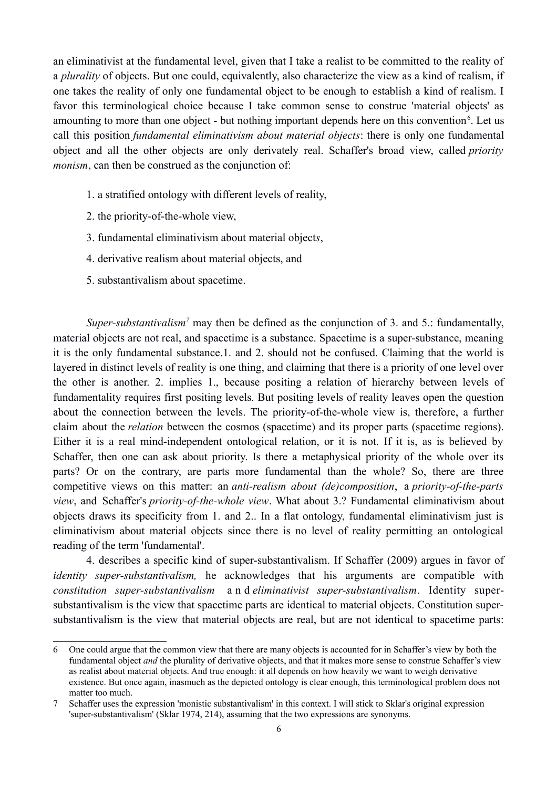an eliminativist at the fundamental level, given that I take a realist to be committed to the reality of a *plurality* of objects. But one could, equivalently, also characterize the view as a kind of realism, if one takes the reality of only one fundamental object to be enough to establish a kind of realism. I favor this terminological choice because I take common sense to construe 'material objects' as amounting to more than one object - but nothing important depends here on this convention<sup>[6](#page-5-0)</sup>. Let us call this position *fundamental eliminativism about material objects*: there is only one fundamental object and all the other objects are only derivately real. Schaffer's broad view, called *priority monism*, can then be construed as the conjunction of:

- 1. a stratified ontology with different levels of reality,
- 2. the priority-of-the-whole view,
- 3. fundamental eliminativism about material object*s*,
- 4. derivative realism about material objects, and
- 5. substantivalism about spacetime.

*Super-substantivalism[7](#page-5-1)* may then be defined as the conjunction of 3. and 5.: fundamentally, material objects are not real, and spacetime is a substance. Spacetime is a super-substance, meaning it is the only fundamental substance.1. and 2. should not be confused. Claiming that the world is layered in distinct levels of reality is one thing, and claiming that there is a priority of one level over the other is another. 2. implies 1., because positing a relation of hierarchy between levels of fundamentality requires first positing levels. But positing levels of reality leaves open the question about the connection between the levels. The priority-of-the-whole view is, therefore, a further claim about the *relation* between the cosmos (spacetime) and its proper parts (spacetime regions). Either it is a real mind-independent ontological relation, or it is not. If it is, as is believed by Schaffer, then one can ask about priority. Is there a metaphysical priority of the whole over its parts? Or on the contrary, are parts more fundamental than the whole? So, there are three competitive views on this matter: an *anti-realism about (de)composition*, a *priority-of-the-parts view*, and Schaffer's *priority-of-the-whole view*. What about 3.? Fundamental eliminativism about objects draws its specificity from 1. and 2.. In a flat ontology, fundamental eliminativism just is eliminativism about material objects since there is no level of reality permitting an ontological reading of the term 'fundamental'.

4. describes a specific kind of super-substantivalism. If Schaffer (2009) argues in favor of *identity super-substantivalism,* he acknowledges that his arguments are compatible with *constitution super-substantivalism* a n d *eliminativist super-substantivalism*. Identity supersubstantivalism is the view that spacetime parts are identical to material objects. Constitution supersubstantivalism is the view that material objects are real, but are not identical to spacetime parts:

<span id="page-5-0"></span><sup>6</sup> -One could argue that the common view that there are many objects is accounted for in Schaffer's view by both the fundamental object *and* the plurality of derivative objects, and that it makes more sense to construe Schaffer's view as realist about material objects. And true enough: it all depends on how heavily we want to weigh derivative existence. But once again, inasmuch as the depicted ontology is clear enough, this terminological problem does not matter too much.

<span id="page-5-1"></span><sup>7</sup> -Schaffer uses the expression 'monistic substantivalism' in this context. I will stick to Sklar's original expression 'super-substantivalism' (Sklar 1974, 214), assuming that the two expressions are synonyms.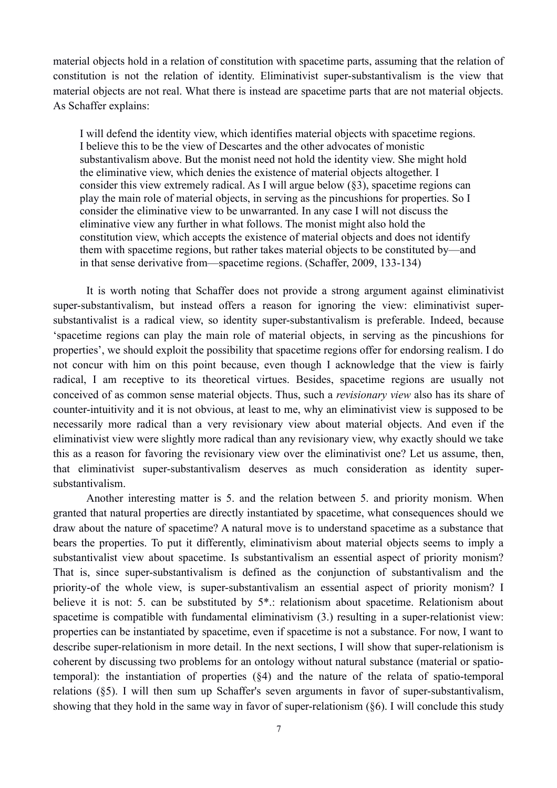material objects hold in a relation of constitution with spacetime parts, assuming that the relation of constitution is not the relation of identity. Eliminativist super-substantivalism is the view that material objects are not real. What there is instead are spacetime parts that are not material objects. As Schaffer explains:

I will defend the identity view, which identifies material objects with spacetime regions. I believe this to be the view of Descartes and the other advocates of monistic substantivalism above. But the monist need not hold the identity view. She might hold the eliminative view, which denies the existence of material objects altogether. I consider this view extremely radical. As I will argue below (§3), spacetime regions can play the main role of material objects, in serving as the pincushions for properties. So I consider the eliminative view to be unwarranted. In any case I will not discuss the eliminative view any further in what follows. The monist might also hold the constitution view, which accepts the existence of material objects and does not identify them with spacetime regions, but rather takes material objects to be constituted by—and in that sense derivative from—spacetime regions. (Schaffer, 2009, 133-134)

It is worth noting that Schaffer does not provide a strong argument against eliminativist super-substantivalism, but instead offers a reason for ignoring the view: eliminativist supersubstantivalist is a radical view, so identity super-substantivalism is preferable. Indeed, because 'spacetime regions can play the main role of material objects, in serving as the pincushions for properties', we should exploit the possibility that spacetime regions offer for endorsing realism. I do not concur with him on this point because, even though I acknowledge that the view is fairly radical, I am receptive to its theoretical virtues. Besides, spacetime regions are usually not conceived of as common sense material objects. Thus, such a *revisionary view* also has its share of counter-intuitivity and it is not obvious, at least to me, why an eliminativist view is supposed to be necessarily more radical than a very revisionary view about material objects. And even if the eliminativist view were slightly more radical than any revisionary view, why exactly should we take this as a reason for favoring the revisionary view over the eliminativist one? Let us assume, then, that eliminativist super-substantivalism deserves as much consideration as identity supersubstantivalism.

Another interesting matter is 5. and the relation between 5. and priority monism. When granted that natural properties are directly instantiated by spacetime, what consequences should we draw about the nature of spacetime? A natural move is to understand spacetime as a substance that bears the properties. To put it differently, eliminativism about material objects seems to imply a substantivalist view about spacetime. Is substantivalism an essential aspect of priority monism? That is, since super-substantivalism is defined as the conjunction of substantivalism and the priority-of the whole view, is super-substantivalism an essential aspect of priority monism? I believe it is not: 5. can be substituted by  $5^*$ .: relationism about spacetime. Relationism about spacetime is compatible with fundamental eliminativism (3.) resulting in a super-relationist view: properties can be instantiated by spacetime, even if spacetime is not a substance. For now, I want to describe super-relationism in more detail. In the next sections, I will show that super-relationism is coherent by discussing two problems for an ontology without natural substance (material or spatiotemporal): the instantiation of properties (§4) and the nature of the relata of spatio-temporal relations (§5). I will then sum up Schaffer's seven arguments in favor of super-substantivalism, showing that they hold in the same way in favor of super-relationism (§6). I will conclude this study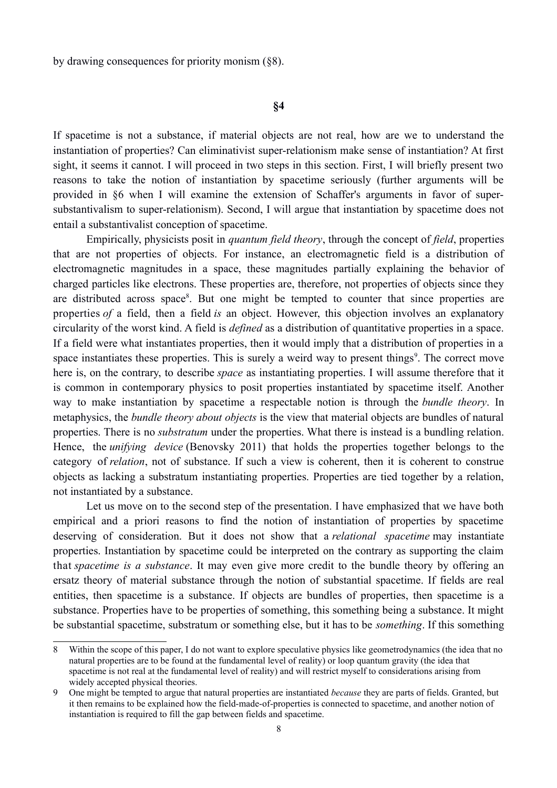by drawing consequences for priority monism (§8).

If spacetime is not a substance, if material objects are not real, how are we to understand the instantiation of properties? Can eliminativist super-relationism make sense of instantiation? At first sight, it seems it cannot. I will proceed in two steps in this section. First, I will briefly present two reasons to take the notion of instantiation by spacetime seriously (further arguments will be provided in §6 when I will examine the extension of Schaffer's arguments in favor of supersubstantivalism to super-relationism). Second, I will argue that instantiation by spacetime does not entail a substantivalist conception of spacetime.

Empirically, physicists posit in *quantum field theory*, through the concept of *field*, properties that are not properties of objects. For instance, an electromagnetic field is a distribution of electromagnetic magnitudes in a space, these magnitudes partially explaining the behavior of charged particles like electrons. These properties are, therefore, not properties of objects since they are distributed across space<sup>[8](#page-7-0)</sup>. But one might be tempted to counter that since properties are properties *of* a field, then a field *is* an object. However, this objection involves an explanatory circularity of the worst kind. A field is *defined* as a distribution of quantitative properties in a space. If a field were what instantiates properties, then it would imply that a distribution of properties in a space instantiates these properties. This is surely a weird way to present things<sup>[9](#page-7-1)</sup>. The correct move here is, on the contrary, to describe *space* as instantiating properties. I will assume therefore that it is common in contemporary physics to posit properties instantiated by spacetime itself. Another way to make instantiation by spacetime a respectable notion is through the *bundle theory*. In metaphysics, the *bundle theory about objects* is the view that material objects are bundles of natural properties. There is no *substratum* under the properties. What there is instead is a bundling relation. Hence, the *unifying device* (Benovsky 2011) that holds the properties together belongs to the category of *relation*, not of substance. If such a view is coherent, then it is coherent to construe objects as lacking a substratum instantiating properties. Properties are tied together by a relation, not instantiated by a substance.

Let us move on to the second step of the presentation. I have emphasized that we have both empirical and a priori reasons to find the notion of instantiation of properties by spacetime deserving of consideration. But it does not show that a *relational spacetime* may instantiate properties. Instantiation by spacetime could be interpreted on the contrary as supporting the claim that *spacetime is a substance*. It may even give more credit to the bundle theory by offering an ersatz theory of material substance through the notion of substantial spacetime. If fields are real entities, then spacetime is a substance. If objects are bundles of properties, then spacetime is a substance. Properties have to be properties of something, this something being a substance. It might be substantial spacetime, substratum or something else, but it has to be *something*. If this something

<span id="page-7-0"></span><sup>8</sup> Within the scope of this paper, I do not want to explore speculative physics like geometrodynamics (the idea that no natural properties are to be found at the fundamental level of reality) or loop quantum gravity (the idea that spacetime is not real at the fundamental level of reality) and will restrict myself to considerations arising from widely accepted physical theories.

<span id="page-7-1"></span><sup>9</sup> -One might be tempted to argue that natural properties are instantiated *because* they are parts of fields. Granted, but it then remains to be explained how the field-made-of-properties is connected to spacetime, and another notion of instantiation is required to fill the gap between fields and spacetime.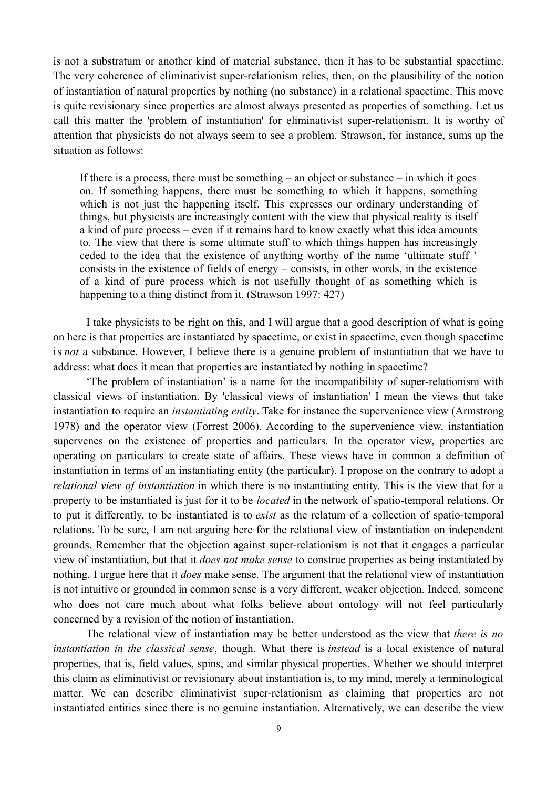is not a substratum or another kind of material substance, then it has to be substantial spacetime. The very coherence of eliminativist super-relationism relies, then, on the plausibility of the notion of instantiation of natural properties by nothing (no substance) in a relational spacetime. This move is quite revisionary since properties are almost always presented as properties of something. Let us call this matter the 'problem of instantiation' for eliminativist super-relationism. It is worthy of attention that physicists do not always seem to see a problem. Strawson, for instance, sums up the situation as follows:

If there is a process, there must be something – an object or substance – in which it goes on. If something happens, there must be something to which it happens, something which is not just the happening itself. This expresses our ordinary understanding of things, but physicists are increasingly content with the view that physical reality is itself a kind of pure process – even if it remains hard to know exactly what this idea amounts to. The view that there is some ultimate stuff to which things happen has increasingly ceded to the idea that the existence of anything worthy of the name 'ultimate stuff ' consists in the existence of fields of energy – consists, in other words, in the existence of a kind of pure process which is not usefully thought of as something which is happening to a thing distinct from it. (Strawson 1997: 427)

I take physicists to be right on this, and I will argue that a good description of what is going on here is that properties are instantiated by spacetime, or exist in spacetime, even though spacetime is *not* a substance. However, I believe there is a genuine problem of instantiation that we have to address: what does it mean that properties are instantiated by nothing in spacetime?

'The problem of instantiation' is a name for the incompatibility of super-relationism with classical views of instantiation. By 'classical views of instantiation' I mean the views that take instantiation to require an *instantiating entity*. Take for instance the supervenience view (Armstrong 1978) and the operator view (Forrest 2006). According to the supervenience view, instantiation supervenes on the existence of properties and particulars. In the operator view, properties are operating on particulars to create state of affairs. These views have in common a definition of instantiation in terms of an instantiating entity (the particular). I propose on the contrary to adopt a *relational view of instantiation* in which there is no instantiating entity. This is the view that for a property to be instantiated is just for it to be *located* in the network of spatio-temporal relations. Or to put it differently, to be instantiated is to *exist* as the relatum of a collection of spatio-temporal relations. To be sure, I am not arguing here for the relational view of instantiation on independent grounds. Remember that the objection against super-relationism is not that it engages a particular view of instantiation, but that it *does not make sense* to construe properties as being instantiated by nothing. I argue here that it *does* make sense. The argument that the relational view of instantiation is not intuitive or grounded in common sense is a very different, weaker objection. Indeed, someone who does not care much about what folks believe about ontology will not feel particularly concerned by a revision of the notion of instantiation.

The relational view of instantiation may be better understood as the view that *there is no instantiation in the classical sense*, though. What there is *instead* is a local existence of natural properties, that is, field values, spins, and similar physical properties. Whether we should interpret this claim as eliminativist or revisionary about instantiation is, to my mind, merely a terminological matter. We can describe eliminativist super-relationism as claiming that properties are not instantiated entities since there is no genuine instantiation. Alternatively, we can describe the view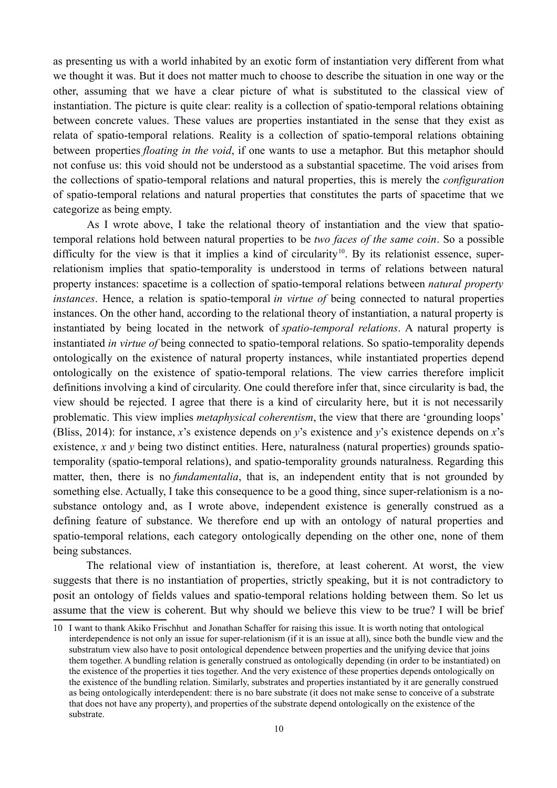as presenting us with a world inhabited by an exotic form of instantiation very different from what we thought it was. But it does not matter much to choose to describe the situation in one way or the other, assuming that we have a clear picture of what is substituted to the classical view of instantiation. The picture is quite clear: reality is a collection of spatio-temporal relations obtaining between concrete values. These values are properties instantiated in the sense that they exist as relata of spatio-temporal relations. Reality is a collection of spatio-temporal relations obtaining between properties *floating in the void*, if one wants to use a metaphor. But this metaphor should not confuse us: this void should not be understood as a substantial spacetime. The void arises from the collections of spatio-temporal relations and natural properties, this is merely the *configuration* of spatio-temporal relations and natural properties that constitutes the parts of spacetime that we categorize as being empty.

As I wrote above, I take the relational theory of instantiation and the view that spatiotemporal relations hold between natural properties to be *two faces of the same coin*. So a possible difficulty for the view is that it implies a kind of circularity<sup>[10](#page-9-0)</sup>. By its relationist essence, superrelationism implies that spatio-temporality is understood in terms of relations between natural property instances: spacetime is a collection of spatio-temporal relations between *natural property instances*. Hence, a relation is spatio-temporal *in virtue of* being connected to natural properties instances. On the other hand, according to the relational theory of instantiation, a natural property is instantiated by being located in the network of *spatio-temporal relations*. A natural property is instantiated *in virtue of* being connected to spatio-temporal relations. So spatio-temporality depends ontologically on the existence of natural property instances, while instantiated properties depend ontologically on the existence of spatio-temporal relations. The view carries therefore implicit definitions involving a kind of circularity. One could therefore infer that, since circularity is bad, the view should be rejected. I agree that there is a kind of circularity here, but it is not necessarily problematic. This view implies *metaphysical coherentism*, the view that there are 'grounding loops' (Bliss, 2014): for instance, *x*'s existence depends on *y*'s existence and *y*'s existence depends on *x*'s existence, *x* and *y* being two distinct entities. Here, naturalness (natural properties) grounds spatiotemporality (spatio-temporal relations), and spatio-temporality grounds naturalness. Regarding this matter, then, there is no *fundamentalia*, that is, an independent entity that is not grounded by something else. Actually, I take this consequence to be a good thing, since super-relationism is a nosubstance ontology and, as I wrote above, independent existence is generally construed as a defining feature of substance. We therefore end up with an ontology of natural properties and spatio-temporal relations, each category ontologically depending on the other one, none of them being substances.

The relational view of instantiation is, therefore, at least coherent. At worst, the view suggests that there is no instantiation of properties, strictly speaking, but it is not contradictory to posit an ontology of fields values and spatio-temporal relations holding between them. So let us assume that the view is coherent. But why should we believe this view to be true? I will be brief

<span id="page-9-0"></span><sup>10</sup> Ewant to thank Akiko Frischhut and Jonathan Schaffer for raising this issue. It is worth noting that ontological interdependence is not only an issue for super-relationism (if it is an issue at all), since both the bundle view and the substratum view also have to posit ontological dependence between properties and the unifying device that joins them together. A bundling relation is generally construed as ontologically depending (in order to be instantiated) on the existence of the properties it ties together. And the very existence of these properties depends ontologically on the existence of the bundling relation. Similarly, substrates and properties instantiated by it are generally construed as being ontologically interdependent: there is no bare substrate (it does not make sense to conceive of a substrate that does not have any property), and properties of the substrate depend ontologically on the existence of the substrate.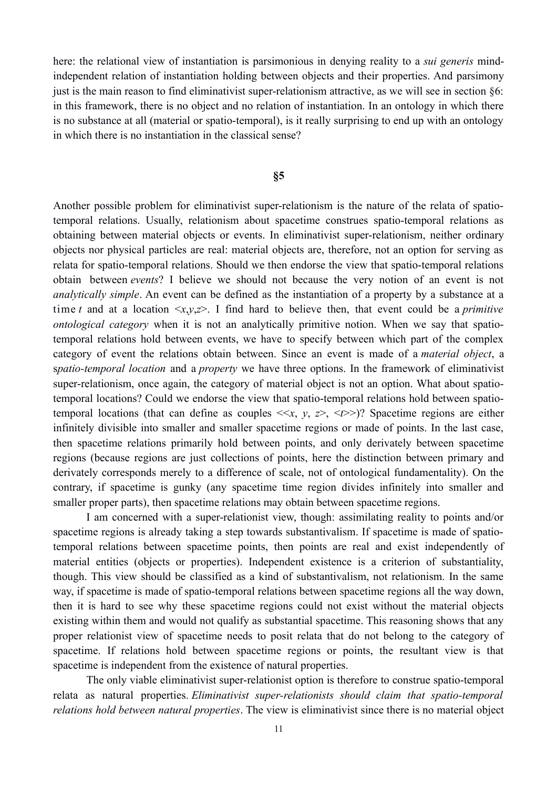here: the relational view of instantiation is parsimonious in denying reality to a *sui generis* mindindependent relation of instantiation holding between objects and their properties. And parsimony just is the main reason to find eliminativist super-relationism attractive, as we will see in section §6: in this framework, there is no object and no relation of instantiation. In an ontology in which there is no substance at all (material or spatio-temporal), is it really surprising to end up with an ontology in which there is no instantiation in the classical sense?

#### **§5**

Another possible problem for eliminativist super-relationism is the nature of the relata of spatiotemporal relations. Usually, relationism about spacetime construes spatio-temporal relations as obtaining between material objects or events. In eliminativist super-relationism, neither ordinary objects nor physical particles are real: material objects are, therefore, not an option for serving as relata for spatio-temporal relations. Should we then endorse the view that spatio-temporal relations obtain between *events*? I believe we should not because the very notion of an event is not *analytically simple*. An event can be defined as the instantiation of a property by a substance at a time *t* and at a location  $\langle x, y, z \rangle$ . I find hard to believe then, that event could be a *primitive ontological category* when it is not an analytically primitive notion. When we say that spatiotemporal relations hold between events, we have to specify between which part of the complex category of event the relations obtain between. Since an event is made of a *material object*, a s*patio-temporal location* and a *property* we have three options. In the framework of eliminativist super-relationism, once again, the category of material object is not an option. What about spatiotemporal locations? Could we endorse the view that spatio-temporal relations hold between spatiotemporal locations (that can define as couples  $\langle x, y, z \rangle$ ,  $\langle t \rangle$ )? Spacetime regions are either infinitely divisible into smaller and smaller spacetime regions or made of points. In the last case, then spacetime relations primarily hold between points, and only derivately between spacetime regions (because regions are just collections of points, here the distinction between primary and derivately corresponds merely to a difference of scale, not of ontological fundamentality). On the contrary, if spacetime is gunky (any spacetime time region divides infinitely into smaller and smaller proper parts), then spacetime relations may obtain between spacetime regions.

I am concerned with a super-relationist view, though: assimilating reality to points and/or spacetime regions is already taking a step towards substantivalism. If spacetime is made of spatiotemporal relations between spacetime points, then points are real and exist independently of material entities (objects or properties). Independent existence is a criterion of substantiality, though. This view should be classified as a kind of substantivalism, not relationism. In the same way, if spacetime is made of spatio-temporal relations between spacetime regions all the way down, then it is hard to see why these spacetime regions could not exist without the material objects existing within them and would not qualify as substantial spacetime. This reasoning shows that any proper relationist view of spacetime needs to posit relata that do not belong to the category of spacetime. If relations hold between spacetime regions or points, the resultant view is that spacetime is independent from the existence of natural properties.

The only viable eliminativist super-relationist option is therefore to construe spatio-temporal relata as natural properties. *Eliminativist super-relationists should claim that spatio-temporal relations hold between natural properties*. The view is eliminativist since there is no material object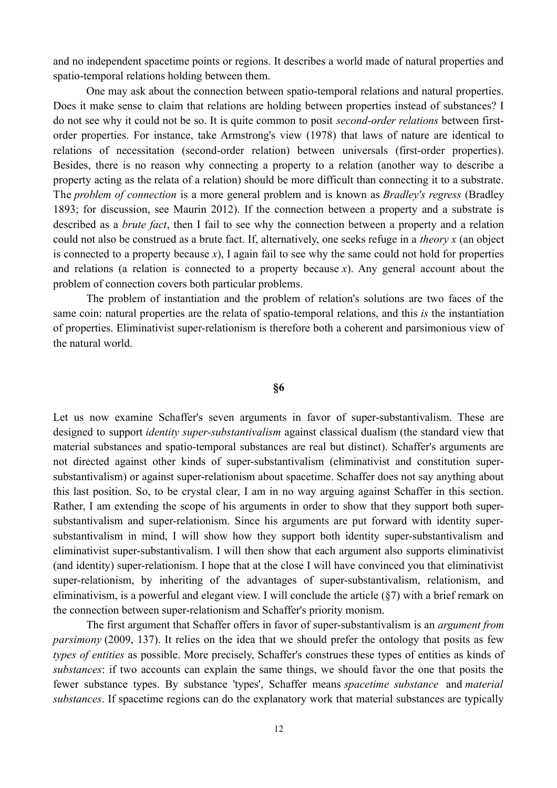and no independent spacetime points or regions. It describes a world made of natural properties and spatio-temporal relations holding between them.

One may ask about the connection between spatio-temporal relations and natural properties. Does it make sense to claim that relations are holding between properties instead of substances? I do not see why it could not be so. It is quite common to posit *second-order relations* between firstorder properties. For instance, take Armstrong's view (1978) that laws of nature are identical to relations of necessitation (second-order relation) between universals (first-order properties). Besides, there is no reason why connecting a property to a relation (another way to describe a property acting as the relata of a relation) should be more difficult than connecting it to a substrate. The *problem of connection* is a more general problem and is known as *Bradley's regress* (Bradley 1893; for discussion, see Maurin 2012). If the connection between a property and a substrate is described as a *brute fact*, then I fail to see why the connection between a property and a relation could not also be construed as a brute fact. If, alternatively, one seeks refuge in a *theory x* (an object is connected to a property because  $x$ ), I again fail to see why the same could not hold for properties and relations (a relation is connected to a property because *x*). Any general account about the problem of connection covers both particular problems.

The problem of instantiation and the problem of relation's solutions are two faces of the same coin: natural properties are the relata of spatio-temporal relations, and this *is* the instantiation of properties. Eliminativist super-relationism is therefore both a coherent and parsimonious view of the natural world.

## **§6**

Let us now examine Schaffer's seven arguments in favor of super-substantivalism. These are designed to support *identity super-substantivalism* against classical dualism (the standard view that material substances and spatio-temporal substances are real but distinct). Schaffer's arguments are not directed against other kinds of super-substantivalism (eliminativist and constitution supersubstantivalism) or against super-relationism about spacetime. Schaffer does not say anything about this last position. So, to be crystal clear, I am in no way arguing against Schaffer in this section. Rather, I am extending the scope of his arguments in order to show that they support both supersubstantivalism and super-relationism. Since his arguments are put forward with identity supersubstantivalism in mind, I will show how they support both identity super-substantivalism and eliminativist super-substantivalism. I will then show that each argument also supports eliminativist (and identity) super-relationism. I hope that at the close I will have convinced you that eliminativist super-relationism, by inheriting of the advantages of super-substantivalism, relationism, and eliminativism, is a powerful and elegant view. I will conclude the article (§7) with a brief remark on the connection between super-relationism and Schaffer's priority monism.

The first argument that Schaffer offers in favor of super-substantivalism is an *argument from parsimony* (2009, 137). It relies on the idea that we should prefer the ontology that posits as few *types of entities* as possible. More precisely, Schaffer's construes these types of entities as kinds of *substances*: if two accounts can explain the same things, we should favor the one that posits the fewer substance types. By substance 'types', Schaffer means *spacetime substance* and *material substances*. If spacetime regions can do the explanatory work that material substances are typically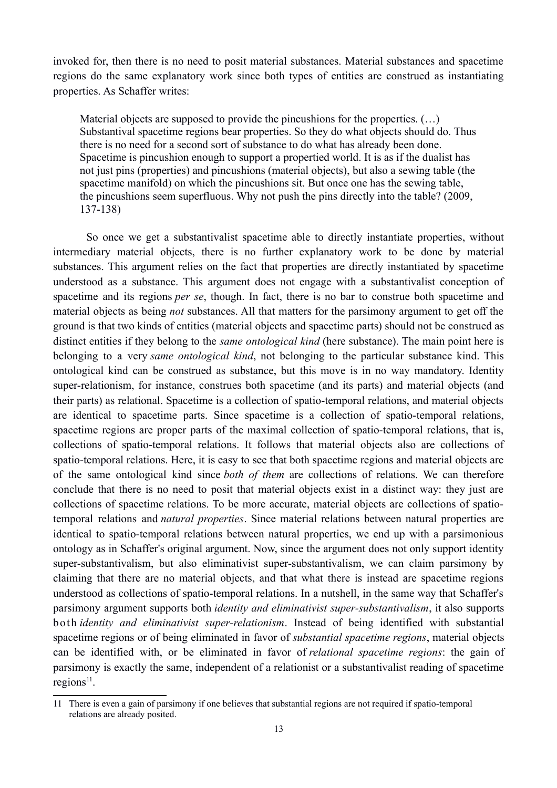invoked for, then there is no need to posit material substances. Material substances and spacetime regions do the same explanatory work since both types of entities are construed as instantiating properties. As Schaffer writes:

Material objects are supposed to provide the pincushions for the properties.  $($ ...) Substantival spacetime regions bear properties. So they do what objects should do. Thus there is no need for a second sort of substance to do what has already been done. Spacetime is pincushion enough to support a propertied world. It is as if the dualist has not just pins (properties) and pincushions (material objects), but also a sewing table (the spacetime manifold) on which the pincushions sit. But once one has the sewing table, the pincushions seem superfluous. Why not push the pins directly into the table? (2009, 137-138)

So once we get a substantivalist spacetime able to directly instantiate properties, without intermediary material objects, there is no further explanatory work to be done by material substances. This argument relies on the fact that properties are directly instantiated by spacetime understood as a substance. This argument does not engage with a substantivalist conception of spacetime and its regions *per se*, though. In fact, there is no bar to construe both spacetime and material objects as being *not* substances. All that matters for the parsimony argument to get off the ground is that two kinds of entities (material objects and spacetime parts) should not be construed as distinct entities if they belong to the *same ontological kind* (here substance). The main point here is belonging to a very *same ontological kind*, not belonging to the particular substance kind. This ontological kind can be construed as substance, but this move is in no way mandatory. Identity super-relationism, for instance, construes both spacetime (and its parts) and material objects (and their parts) as relational. Spacetime is a collection of spatio-temporal relations, and material objects are identical to spacetime parts. Since spacetime is a collection of spatio-temporal relations, spacetime regions are proper parts of the maximal collection of spatio-temporal relations, that is, collections of spatio-temporal relations. It follows that material objects also are collections of spatio-temporal relations. Here, it is easy to see that both spacetime regions and material objects are of the same ontological kind since *both of them* are collections of relations. We can therefore conclude that there is no need to posit that material objects exist in a distinct way: they just are collections of spacetime relations. To be more accurate, material objects are collections of spatiotemporal relations and *natural properties*. Since material relations between natural properties are identical to spatio-temporal relations between natural properties, we end up with a parsimonious ontology as in Schaffer's original argument. Now, since the argument does not only support identity super-substantivalism, but also eliminativist super-substantivalism, we can claim parsimony by claiming that there are no material objects, and that what there is instead are spacetime regions understood as collections of spatio-temporal relations. In a nutshell, in the same way that Schaffer's parsimony argument supports both *identity and eliminativist super-substantivalism*, it also supports both *identity and eliminativist super-relationism*. Instead of being identified with substantial spacetime regions or of being eliminated in favor of *substantial spacetime regions*, material objects can be identified with, or be eliminated in favor of *relational spacetime regions*: the gain of parsimony is exactly the same, independent of a relationist or a substantivalist reading of spacetime  $regions<sup>11</sup>$  $regions<sup>11</sup>$  $regions<sup>11</sup>$ .

<span id="page-12-0"></span><sup>11</sup> There is even a gain of parsimony if one believes that substantial regions are not required if spatio-temporal relations are already posited.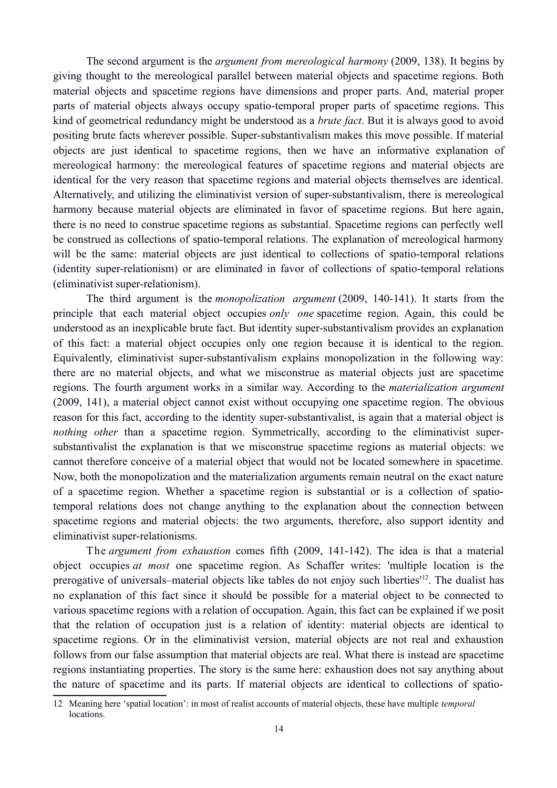The second argument is the *argument from mereological harmony* (2009, 138). It begins by giving thought to the mereological parallel between material objects and spacetime regions. Both material objects and spacetime regions have dimensions and proper parts. And, material proper parts of material objects always occupy spatio-temporal proper parts of spacetime regions. This kind of geometrical redundancy might be understood as a *brute fact*. But it is always good to avoid positing brute facts wherever possible. Super-substantivalism makes this move possible. If material objects are just identical to spacetime regions, then we have an informative explanation of mereological harmony: the mereological features of spacetime regions and material objects are identical for the very reason that spacetime regions and material objects themselves are identical. Alternatively, and utilizing the eliminativist version of super-substantivalism, there is mereological harmony because material objects are eliminated in favor of spacetime regions. But here again, there is no need to construe spacetime regions as substantial. Spacetime regions can perfectly well be construed as collections of spatio-temporal relations. The explanation of mereological harmony will be the same: material objects are just identical to collections of spatio-temporal relations (identity super-relationism) or are eliminated in favor of collections of spatio-temporal relations (eliminativist super-relationism).

The third argument is the *monopolization argument* (2009, 140-141). It starts from the principle that each material object occupies *only one* spacetime region. Again, this could be understood as an inexplicable brute fact. But identity super-substantivalism provides an explanation of this fact: a material object occupies only one region because it is identical to the region. Equivalently, eliminativist super-substantivalism explains monopolization in the following way: there are no material objects, and what we misconstrue as material objects just are spacetime regions. The fourth argument works in a similar way. According to the *materialization argument* (2009, 141), a material object cannot exist without occupying one spacetime region. The obvious reason for this fact, according to the identity super-substantivalist, is again that a material object is *nothing other* than a spacetime region. Symmetrically, according to the eliminativist supersubstantivalist the explanation is that we misconstrue spacetime regions as material objects: we cannot therefore conceive of a material object that would not be located somewhere in spacetime. Now, both the monopolization and the materialization arguments remain neutral on the exact nature of a spacetime region. Whether a spacetime region is substantial or is a collection of spatiotemporal relations does not change anything to the explanation about the connection between spacetime regions and material objects: the two arguments, therefore, also support identity and eliminativist super-relationisms.

The *argument from exhaustion* comes fifth (2009, 141-142). The idea is that a material object occupies *at most* one spacetime region. As Schaffer writes: 'multiple location is the prerogative of universals–material objects like tables do not enjoy such liberties'[12](#page-13-0). The dualist has no explanation of this fact since it should be possible for a material object to be connected to various spacetime regions with a relation of occupation. Again, this fact can be explained if we posit that the relation of occupation just is a relation of identity: material objects are identical to spacetime regions. Or in the eliminativist version, material objects are not real and exhaustion follows from our false assumption that material objects are real. What there is instead are spacetime regions instantiating properties. The story is the same here: exhaustion does not say anything about the nature of spacetime and its parts. If material objects are identical to collections of spatio-

<span id="page-13-0"></span><sup>12</sup> Meaning here 'spatial location': in most of realist accounts of material objects, these have multiple *temporal* locations.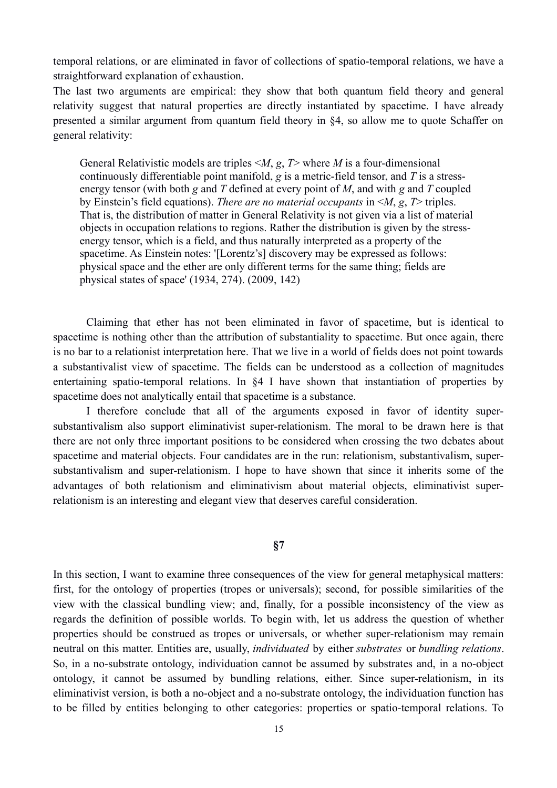temporal relations, or are eliminated in favor of collections of spatio-temporal relations, we have a straightforward explanation of exhaustion.

The last two arguments are empirical: they show that both quantum field theory and general relativity suggest that natural properties are directly instantiated by spacetime. I have already presented a similar argument from quantum field theory in §4, so allow me to quote Schaffer on general relativity:

General Relativistic models are triples <*M*, *g*, *T*> where *M* is a four-dimensional continuously differentiable point manifold, *g* is a metric-field tensor, and *T* is a stressenergy tensor (with both *g* and *T* defined at every point of *M*, and with *g* and *T* coupled by Einstein's field equations). *There are no material occupants* in <*M*, *g*, *T*> triples. That is, the distribution of matter in General Relativity is not given via a list of material objects in occupation relations to regions. Rather the distribution is given by the stressenergy tensor, which is a field, and thus naturally interpreted as a property of the spacetime. As Einstein notes: '[Lorentz's] discovery may be expressed as follows: physical space and the ether are only different terms for the same thing; fields are physical states of space' (1934, 274). (2009, 142)

Claiming that ether has not been eliminated in favor of spacetime, but is identical to spacetime is nothing other than the attribution of substantiality to spacetime. But once again, there is no bar to a relationist interpretation here. That we live in a world of fields does not point towards a substantivalist view of spacetime. The fields can be understood as a collection of magnitudes entertaining spatio-temporal relations. In §4 I have shown that instantiation of properties by spacetime does not analytically entail that spacetime is a substance.

I therefore conclude that all of the arguments exposed in favor of identity supersubstantivalism also support eliminativist super-relationism. The moral to be drawn here is that there are not only three important positions to be considered when crossing the two debates about spacetime and material objects. Four candidates are in the run: relationism, substantivalism, supersubstantivalism and super-relationism. I hope to have shown that since it inherits some of the advantages of both relationism and eliminativism about material objects, eliminativist superrelationism is an interesting and elegant view that deserves careful consideration.

## **§7**

In this section, I want to examine three consequences of the view for general metaphysical matters: first, for the ontology of properties (tropes or universals); second, for possible similarities of the view with the classical bundling view; and, finally, for a possible inconsistency of the view as regards the definition of possible worlds. To begin with, let us address the question of whether properties should be construed as tropes or universals, or whether super-relationism may remain neutral on this matter. Entities are, usually, *individuated* by either *substrates* or *bundling relations*. So, in a no-substrate ontology, individuation cannot be assumed by substrates and, in a no-object ontology, it cannot be assumed by bundling relations, either. Since super-relationism, in its eliminativist version, is both a no-object and a no-substrate ontology, the individuation function has to be filled by entities belonging to other categories: properties or spatio-temporal relations. To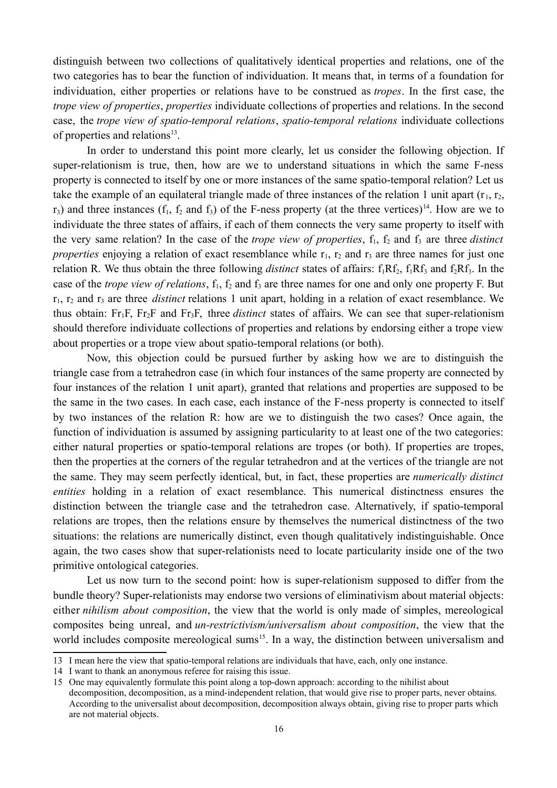distinguish between two collections of qualitatively identical properties and relations, one of the two categories has to bear the function of individuation. It means that, in terms of a foundation for individuation, either properties or relations have to be construed as *tropes*. In the first case, the *trope view of properties*, *properties* individuate collections of properties and relations. In the second case, the *trope view of spatio-temporal relations*, *spatio-temporal relations* individuate collections of properties and relations<sup>[13](#page-15-0)</sup>.

In order to understand this point more clearly, let us consider the following objection. If super-relationism is true, then, how are we to understand situations in which the same F-ness property is connected to itself by one or more instances of the same spatio-temporal relation? Let us take the example of an equilateral triangle made of three instances of the relation 1 unit apart  $(r_1, r_2, r_3)$  $r_3$ ) and three instances ( $f_1$ ,  $f_2$  and  $f_3$ ) of the F-ness property (at the three vertices)<sup>[14](#page-15-1)</sup>. How are we to individuate the three states of affairs, if each of them connects the very same property to itself with the very same relation? In the case of the *trope view of properties*,  $f_1$ ,  $f_2$  and  $f_3$  are three *distinct properties* enjoying a relation of exact resemblance while  $r_1$ ,  $r_2$  and  $r_3$  are three names for just one relation R. We thus obtain the three following *distinct* states of affairs:  $f_1Rf_2$ ,  $f_1Rf_3$  and  $f_2Rf_3$ . In the case of the *trope view of relations*,  $f_1$ ,  $f_2$  and  $f_3$  are three names for one and only one property F. But r1, r2 and r3 are three *distinct* relations 1 unit apart, holding in a relation of exact resemblance. We thus obtain: Fr1F, Fr2F and Fr3F, three *distinct* states of affairs. We can see that super-relationism should therefore individuate collections of properties and relations by endorsing either a trope view about properties or a trope view about spatio-temporal relations (or both).

Now, this objection could be pursued further by asking how we are to distinguish the triangle case from a tetrahedron case (in which four instances of the same property are connected by four instances of the relation 1 unit apart), granted that relations and properties are supposed to be the same in the two cases. In each case, each instance of the F-ness property is connected to itself by two instances of the relation R: how are we to distinguish the two cases? Once again, the function of individuation is assumed by assigning particularity to at least one of the two categories: either natural properties or spatio-temporal relations are tropes (or both). If properties are tropes, then the properties at the corners of the regular tetrahedron and at the vertices of the triangle are not the same. They may seem perfectly identical, but, in fact, these properties are *numerically distinct entities* holding in a relation of exact resemblance. This numerical distinctness ensures the distinction between the triangle case and the tetrahedron case. Alternatively, if spatio-temporal relations are tropes, then the relations ensure by themselves the numerical distinctness of the two situations: the relations are numerically distinct, even though qualitatively indistinguishable. Once again, the two cases show that super-relationists need to locate particularity inside one of the two primitive ontological categories.

Let us now turn to the second point: how is super-relationism supposed to differ from the bundle theory? Super-relationists may endorse two versions of eliminativism about material objects: either *nihilism about composition*, the view that the world is only made of simples, mereological composites being unreal, and *un-restrictivism/universalism about composition*, the view that the world includes composite mereological sums<sup>[15](#page-15-2)</sup>. In a way, the distinction between universalism and

<span id="page-15-0"></span><sup>13</sup> I mean here the view that spatio-temporal relations are individuals that have, each, only one instance.

<span id="page-15-1"></span><sup>14</sup> F want to thank an anonymous referee for raising this issue.

<span id="page-15-2"></span><sup>15</sup> One may equivalently formulate this point along a top-down approach: according to the nihilist about decomposition, decomposition, as a mind-independent relation, that would give rise to proper parts, never obtains. According to the universalist about decomposition, decomposition always obtain, giving rise to proper parts which are not material objects.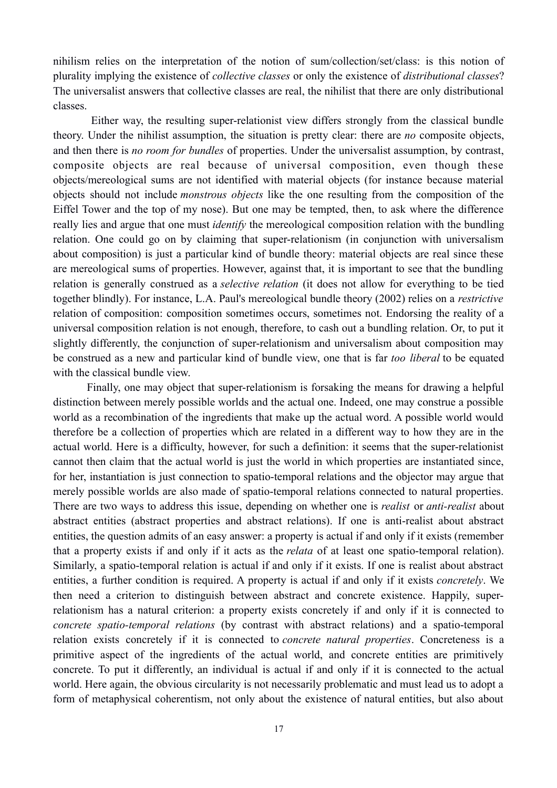nihilism relies on the interpretation of the notion of sum/collection/set/class: is this notion of plurality implying the existence of *collective classes* or only the existence of *distributional classes*? The universalist answers that collective classes are real, the nihilist that there are only distributional classes.

 Either way, the resulting super-relationist view differs strongly from the classical bundle theory. Under the nihilist assumption, the situation is pretty clear: there are *no* composite objects, and then there is *no room for bundles* of properties. Under the universalist assumption, by contrast, composite objects are real because of universal composition, even though these objects/mereological sums are not identified with material objects (for instance because material objects should not include *monstrous objects* like the one resulting from the composition of the Eiffel Tower and the top of my nose). But one may be tempted, then, to ask where the difference really lies and argue that one must *identify* the mereological composition relation with the bundling relation. One could go on by claiming that super-relationism (in conjunction with universalism about composition) is just a particular kind of bundle theory: material objects are real since these are mereological sums of properties. However, against that, it is important to see that the bundling relation is generally construed as a *selective relation* (it does not allow for everything to be tied together blindly). For instance, L.A. Paul's mereological bundle theory (2002) relies on a *restrictive* relation of composition: composition sometimes occurs, sometimes not. Endorsing the reality of a universal composition relation is not enough, therefore, to cash out a bundling relation. Or, to put it slightly differently, the conjunction of super-relationism and universalism about composition may be construed as a new and particular kind of bundle view, one that is far *too liberal* to be equated with the classical bundle view.

Finally, one may object that super-relationism is forsaking the means for drawing a helpful distinction between merely possible worlds and the actual one. Indeed, one may construe a possible world as a recombination of the ingredients that make up the actual word. A possible world would therefore be a collection of properties which are related in a different way to how they are in the actual world. Here is a difficulty, however, for such a definition: it seems that the super-relationist cannot then claim that the actual world is just the world in which properties are instantiated since, for her, instantiation is just connection to spatio-temporal relations and the objector may argue that merely possible worlds are also made of spatio-temporal relations connected to natural properties. There are two ways to address this issue, depending on whether one is *realist* or *anti-realist* about abstract entities (abstract properties and abstract relations). If one is anti-realist about abstract entities, the question admits of an easy answer: a property is actual if and only if it exists (remember that a property exists if and only if it acts as the *relata* of at least one spatio-temporal relation). Similarly, a spatio-temporal relation is actual if and only if it exists. If one is realist about abstract entities, a further condition is required. A property is actual if and only if it exists *concretely*. We then need a criterion to distinguish between abstract and concrete existence. Happily, superrelationism has a natural criterion: a property exists concretely if and only if it is connected to *concrete spatio-temporal relations* (by contrast with abstract relations) and a spatio-temporal relation exists concretely if it is connected to *concrete natural properties*. Concreteness is a primitive aspect of the ingredients of the actual world, and concrete entities are primitively concrete. To put it differently, an individual is actual if and only if it is connected to the actual world. Here again, the obvious circularity is not necessarily problematic and must lead us to adopt a form of metaphysical coherentism, not only about the existence of natural entities, but also about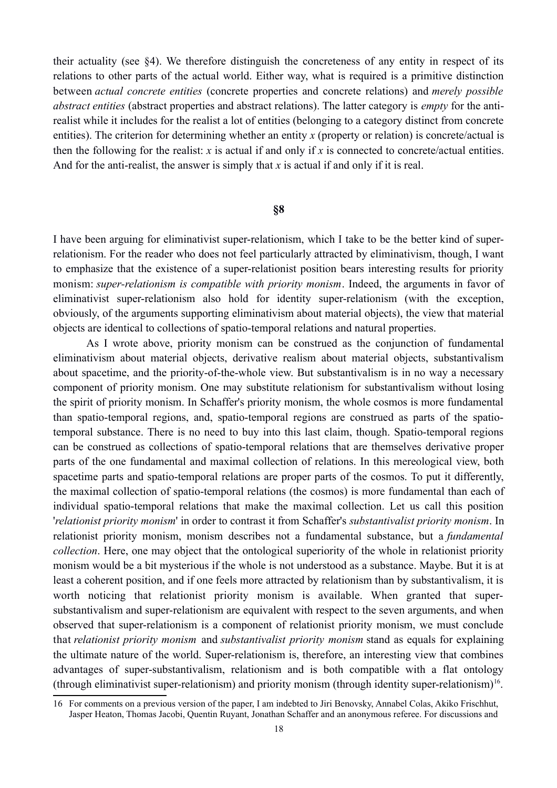their actuality (see §4). We therefore distinguish the concreteness of any entity in respect of its relations to other parts of the actual world. Either way, what is required is a primitive distinction between *actual concrete entities* (concrete properties and concrete relations) and *merely possible abstract entities* (abstract properties and abstract relations). The latter category is *empty* for the antirealist while it includes for the realist a lot of entities (belonging to a category distinct from concrete entities). The criterion for determining whether an entity *x* (property or relation) is concrete/actual is then the following for the realist: *x* is actual if and only if *x* is connected to concrete/actual entities. And for the anti-realist, the answer is simply that  $x$  is actual if and only if it is real.

## **§8**

I have been arguing for eliminativist super-relationism, which I take to be the better kind of superrelationism. For the reader who does not feel particularly attracted by eliminativism, though, I want to emphasize that the existence of a super-relationist position bears interesting results for priority monism: *super-relationism is compatible with priority monism*. Indeed, the arguments in favor of eliminativist super-relationism also hold for identity super-relationism (with the exception, obviously, of the arguments supporting eliminativism about material objects), the view that material objects are identical to collections of spatio-temporal relations and natural properties.

As I wrote above, priority monism can be construed as the conjunction of fundamental eliminativism about material objects, derivative realism about material objects, substantivalism about spacetime, and the priority-of-the-whole view. But substantivalism is in no way a necessary component of priority monism. One may substitute relationism for substantivalism without losing the spirit of priority monism. In Schaffer's priority monism, the whole cosmos is more fundamental than spatio-temporal regions, and, spatio-temporal regions are construed as parts of the spatiotemporal substance. There is no need to buy into this last claim, though. Spatio-temporal regions can be construed as collections of spatio-temporal relations that are themselves derivative proper parts of the one fundamental and maximal collection of relations. In this mereological view, both spacetime parts and spatio-temporal relations are proper parts of the cosmos. To put it differently, the maximal collection of spatio-temporal relations (the cosmos) is more fundamental than each of individual spatio-temporal relations that make the maximal collection. Let us call this position '*relationist priority monism*' in order to contrast it from Schaffer's *substantivalist priority monism*. In relationist priority monism, monism describes not a fundamental substance, but a *fundamental collection*. Here, one may object that the ontological superiority of the whole in relationist priority monism would be a bit mysterious if the whole is not understood as a substance. Maybe. But it is at least a coherent position, and if one feels more attracted by relationism than by substantivalism, it is worth noticing that relationist priority monism is available. When granted that supersubstantivalism and super-relationism are equivalent with respect to the seven arguments, and when observed that super-relationism is a component of relationist priority monism, we must conclude that *relationist priority monism* and *substantivalist priority monism* stand as equals for explaining the ultimate nature of the world. Super-relationism is, therefore, an interesting view that combines advantages of super-substantivalism, relationism and is both compatible with a flat ontology (through eliminativist super-relationism) and priority monism (through identity super-relationism)<sup>[16](#page-17-0)</sup>.

<span id="page-17-0"></span><sup>16</sup> For comments on a previous version of the paper, I am indebted to Jiri Benovsky, Annabel Colas, Akiko Frischhut, Jasper Heaton, Thomas Jacobi, Quentin Ruyant, Jonathan Schaffer and an anonymous referee. For discussions and